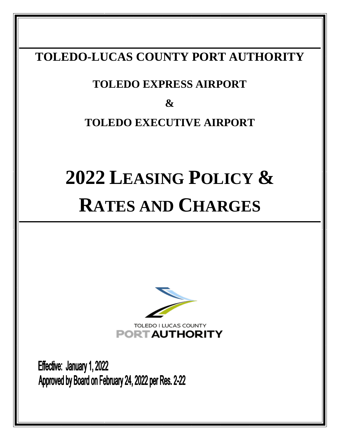# **TOLEDO-LUCAS COUNTY PORT AUTHORITY**

# **TOLEDO EXPRESS AIRPORT**

**&**

# **TOLEDO EXECUTIVE AIRPORT**

# **2022 LEASING POLICY & RATES AND CHARGES**



Effective: January 1, 2022 Approved by Board on February 24, 2022 per Res. 2-22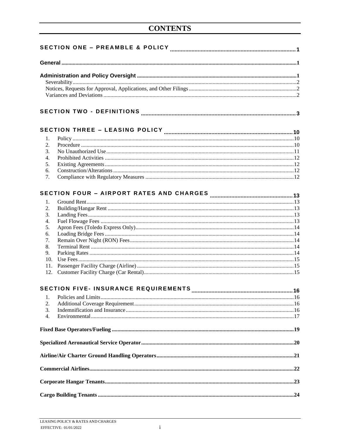| 1.  |                                             |     |  |
|-----|---------------------------------------------|-----|--|
| 2.  |                                             |     |  |
| 3.  |                                             |     |  |
| 4.  |                                             |     |  |
| 5.  |                                             |     |  |
| 6.  |                                             |     |  |
| 7.  |                                             |     |  |
|     |                                             |     |  |
|     |                                             |     |  |
| 1.  |                                             |     |  |
| 2.  |                                             |     |  |
| 3.  |                                             |     |  |
| 4.  |                                             |     |  |
| 5.  |                                             |     |  |
| 6.  |                                             |     |  |
| 7.  |                                             |     |  |
| 8.  |                                             |     |  |
|     |                                             |     |  |
| 9.  |                                             |     |  |
| 10. |                                             |     |  |
| 11. |                                             |     |  |
|     |                                             |     |  |
|     | <b>SECTION FIVE- INSURANCE REQUIREMENTS</b> |     |  |
|     |                                             | .16 |  |
| 1.  |                                             |     |  |
| 2.  |                                             |     |  |
| 3.  |                                             |     |  |
| 4.  |                                             |     |  |
|     |                                             |     |  |
|     |                                             |     |  |
|     |                                             |     |  |
|     |                                             |     |  |
|     |                                             |     |  |
|     |                                             |     |  |
|     |                                             |     |  |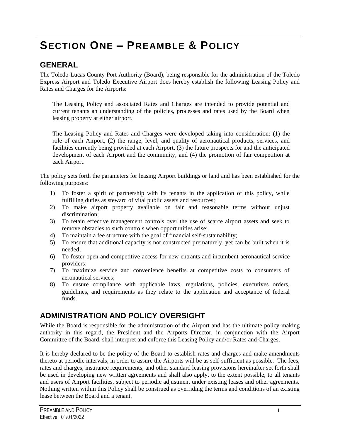# <span id="page-3-0"></span>**SECTION ONE – PREAMBLE & POLICY**

### <span id="page-3-1"></span>**GENERAL**

The Toledo-Lucas County Port Authority (Board), being responsible for the administration of the Toledo Express Airport and Toledo Executive Airport does hereby establish the following Leasing Policy and Rates and Charges for the Airports:

The Leasing Policy and associated Rates and Charges are intended to provide potential and current tenants an understanding of the policies, processes and rates used by the Board when leasing property at either airport.

The Leasing Policy and Rates and Charges were developed taking into consideration: (1) the role of each Airport, (2) the range, level, and quality of aeronautical products, services, and facilities currently being provided at each Airport, (3) the future prospects for and the anticipated development of each Airport and the community, and (4) the promotion of fair competition at each Airport.

The policy sets forth the parameters for leasing Airport buildings or land and has been established for the following purposes:

- 1) To foster a spirit of partnership with its tenants in the application of this policy, while fulfilling duties as steward of vital public assets and resources;
- 2) To make airport property available on fair and reasonable terms without unjust discrimination;
- 3) To retain effective management controls over the use of scarce airport assets and seek to remove obstacles to such controls when opportunities arise;
- 4) To maintain a fee structure with the goal of financial self-sustainability;
- 5) To ensure that additional capacity is not constructed prematurely, yet can be built when it is needed;
- 6) To foster open and competitive access for new entrants and incumbent aeronautical service providers;
- 7) To maximize service and convenience benefits at competitive costs to consumers of aeronautical services;
- 8) To ensure compliance with applicable laws, regulations, policies, executives orders, guidelines, and requirements as they relate to the application and acceptance of federal funds.

### <span id="page-3-2"></span>**ADMINISTRATION AND POLICY OVERSIGHT**

While the Board is responsible for the administration of the Airport and has the ultimate policy-making authority in this regard, the President and the Airports Director, in conjunction with the Airport Committee of the Board, shall interpret and enforce this Leasing Policy and/or Rates and Charges.

It is hereby declared to be the policy of the Board to establish rates and charges and make amendments thereto at periodic intervals, in order to assure the Airports will be as self-sufficient as possible. The fees, rates and charges, insurance requirements, and other standard leasing provisions hereinafter set forth shall be used in developing new written agreements and shall also apply, to the extent possible, to all tenants and users of Airport facilities, subject to periodic adjustment under existing leases and other agreements. Nothing written within this Policy shall be construed as overriding the terms and conditions of an existing lease between the Board and a tenant.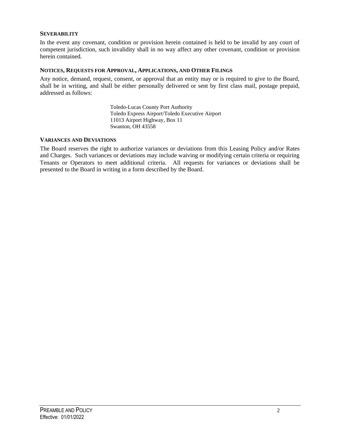#### <span id="page-4-0"></span>**SEVERABILITY**

In the event any covenant, condition or provision herein contained is held to be invalid by any court of competent jurisdiction, such invalidity shall in no way affect any other covenant, condition or provision herein contained.

#### <span id="page-4-1"></span>**NOTICES, REQUESTS FOR APPROVAL, APPLICATIONS, AND OTHER FILINGS**

Any notice, demand, request, consent, or approval that an entity may or is required to give to the Board, shall be in writing, and shall be either personally delivered or sent by first class mail, postage prepaid, addressed as follows:

> Toledo-Lucas County Port Authority Toledo Express Airport/Toledo Executive Airport 11013 Airport Highway, Box 11 Swanton, OH 43558

#### <span id="page-4-2"></span>**VARIANCES AND DEVIATIONS**

The Board reserves the right to authorize variances or deviations from this Leasing Policy and/or Rates and Charges. Such variances or deviations may include waiving or modifying certain criteria or requiring Tenants or Operators to meet additional criteria. All requests for variances or deviations shall be presented to the Board in writing in a form described by the Board.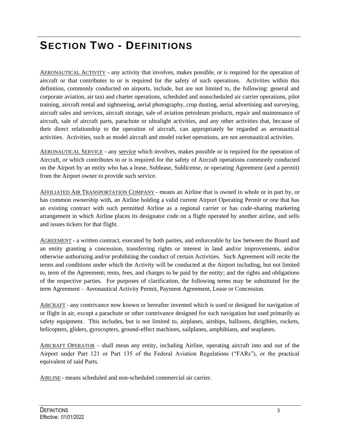# <span id="page-5-0"></span>**SECTION TWO - DEFINITIONS**

AERONAUTICAL ACTIVITY - any activity that involves, makes possible, or is required for the operation of aircraft or that contributes to or is required for the safety of such operations. Activities within this definition, commonly conducted on airports, include, but are not limited to, the following: general and corporate aviation, air taxi and charter operations, scheduled and nonscheduled air carrier operations, pilot training, aircraft rental and sightseeing, aerial photography, crop dusting, aerial advertising and surveying, aircraft sales and services, aircraft storage, sale of aviation petroleum products, repair and maintenance of aircraft, sale of aircraft parts, parachute or ultralight activities, and any other activities that, because of their direct relationship to the operation of aircraft, can appropriately be regarded as aeronautical activities. Activities, such as model aircraft and model rocket operations, are not aeronautical activities.

AERONAUTICAL SERVICE - any service which involves, makes possible or is required for the operation of Aircraft, or which contributes to or is required for the safety of Aircraft operations commonly conducted on the Airport by an entity who has a lease, Sublease, Sublicense, or operating Agreement (and a permit) from the Airport owner to provide such service.

AFFILIATED AIR TRANSPORTATION COMPANY - means an Airline that is owned in whole or in part by, or has common ownership with, an Airline holding a valid current Airport Operating Permit or one that has an existing contract with such permitted Airline as a regional carrier or has code-sharing marketing arrangement in which Airline places its designator code on a flight operated by another airline, and sells and issues tickets for that flight.

AGREEMENT - a written contract, executed by both parties, and enforceable by law between the Board and an entity granting a concession, transferring rights or interest in land and/or improvements, and/or otherwise authorizing and/or prohibiting the conduct of certain Activities. Such Agreement will recite the terms and conditions under which the Activity will be conducted at the Airport including, but not limited to, term of the Agreement; rents, fees, and charges to be paid by the entity; and the rights and obligations of the respective parties. For purposes of clarification, the following terms may be substituted for the term Agreement – Aeronautical Activity Permit, Payment Agreement, Lease or Concession.

AIRCRAFT - any contrivance now known or hereafter invented which is used or designed for navigation of or flight in air, except a parachute or other contrivance designed for such navigation but used primarily as safety equipment. This includes, but is not limited to, airplanes, airships, balloons, dirigibles, rockets, helicopters, gliders, gyrocopters, ground-effect machines, sailplanes, amphibians, and seaplanes.

AIRCRAFT OPERATOR – shall mean any entity, including Airline, operating aircraft into and out of the Airport under Part 121 or Part 135 of the Federal Aviation Regulations ("FARs"), or the practical equivalent of said Parts.

AIRLINE - means scheduled and non-scheduled commercial air carrier.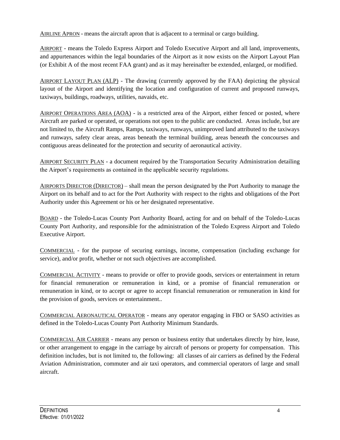AIRLINE APRON - means the aircraft apron that is adjacent to a terminal or cargo building.

AIRPORT - means the Toledo Express Airport and Toledo Executive Airport and all land, improvements, and appurtenances within the legal boundaries of the Airport as it now exists on the Airport Layout Plan (or Exhibit A of the most recent FAA grant) and as it may hereinafter be extended, enlarged, or modified.

AIRPORT LAYOUT PLAN (ALP) - The drawing (currently approved by the FAA) depicting the physical layout of the Airport and identifying the location and configuration of current and proposed runways, taxiways, buildings, roadways, utilities, navaids, etc.

AIRPORT OPERATIONS AREA (AOA) - is a restricted area of the Airport, either fenced or posted, where Aircraft are parked or operated, or operations not open to the public are conducted. Areas include, but are not limited to, the Aircraft Ramps, Ramps, taxiways, runways, unimproved land attributed to the taxiways and runways, safety clear areas, areas beneath the terminal building, areas beneath the concourses and contiguous areas delineated for the protection and security of aeronautical activity.

AIRPORT SECURITY PLAN - a document required by the Transportation Security Administration detailing the Airport's requirements as contained in the applicable security regulations.

AIRPORTS DIRECTOR (DIRECTOR) – shall mean the person designated by the Port Authority to manage the Airport on its behalf and to act for the Port Authority with respect to the rights and obligations of the Port Authority under this Agreement or his or her designated representative.

BOARD - the Toledo-Lucas County Port Authority Board, acting for and on behalf of the Toledo-Lucas County Port Authority, and responsible for the administration of the Toledo Express Airport and Toledo Executive Airport.

COMMERCIAL - for the purpose of securing earnings, income, compensation (including exchange for service), and/or profit, whether or not such objectives are accomplished.

COMMERCIAL ACTIVITY - means to provide or offer to provide goods, services or entertainment in return for financial remuneration or remuneration in kind, or a promise of financial remuneration or remuneration in kind, or to accept or agree to accept financial remuneration or remuneration in kind for the provision of goods, services or entertainment..

COMMERCIAL AERONAUTICAL OPERATOR - means any operator engaging in FBO or SASO activities as defined in the Toledo-Lucas County Port Authority Minimum Standards.

COMMERCIAL AIR CARRIER - means any person or business entity that undertakes directly by hire, lease, or other arrangement to engage in the carriage by aircraft of persons or property for compensation. This definition includes, but is not limited to, the following: all classes of air carriers as defined by the Federal Aviation Administration, commuter and air taxi operators, and commercial operators of large and small aircraft.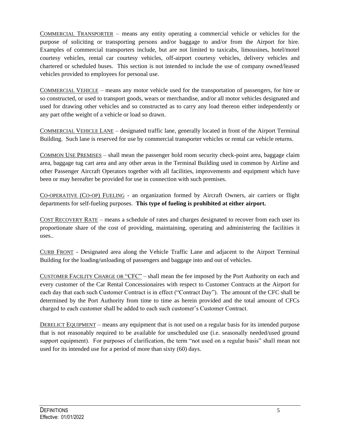COMMERCIAL TRANSPORTER – means any entity operating a commercial vehicle or vehicles for the purpose of soliciting or transporting persons and/or baggage to and/or from the Airport for hire. Examples of commercial transporters include, but are not limited to taxicabs, limousines, hotel/motel courtesy vehicles, rental car courtesy vehicles, off-airport courtesy vehicles, delivery vehicles and chartered or scheduled buses. This section is not intended to include the use of company owned/leased vehicles provided to employees for personal use.

COMMERCIAL VEHICLE – means any motor vehicle used for the transportation of passengers, for hire or so constructed, or used to transport goods, wears or merchandise, and/or all motor vehicles designated and used for drawing other vehicles and so constructed as to carry any load thereon either independently or any part ofthe weight of a vehicle or load so drawn.

COMMERCIAL VEHICLE LANE – designated traffic lane, generally located in front of the Airport Terminal Building. Such lane is reserved for use by commercial transporter vehicles or rental car vehicle returns.

COMMON USE PREMISES – shall mean the passenger hold room security check-point area, baggage claim area, baggage tug cart area and any other areas in the Terminal Building used in common by Airline and other Passenger Aircraft Operators together with all facilities, improvements and equipment which have been or may hereafter be provided for use in connection with such premises.

CO-OPERATIVE (CO-OP) FUELING - an organization formed by Aircraft Owners, air carriers or flight departments for self-fueling purposes. **This type of fueling is prohibited at either airport.**

COST RECOVERY RATE – means a schedule of rates and charges designated to recover from each user its proportionate share of the cost of providing, maintaining, operating and administering the facilities it uses..

CURB FRONT - Designated area along the Vehicle Traffic Lane and adjacent to the Airport Terminal Building for the loading/unloading of passengers and baggage into and out of vehicles.

CUSTOMER FACILITY CHARGE OR "CFC" – shall mean the fee imposed by the Port Authority on each and every customer of the Car Rental Concessionaires with respect to Customer Contracts at the Airport for each day that each such Customer Contract is in effect ("Contract Day"). The amount of the CFC shall be determined by the Port Authority from time to time as herein provided and the total amount of CFCs charged to each customer shall be added to each such customer's Customer Contract.

DERELICT EQUIPMENT – means any equipment that is not used on a regular basis for its intended purpose that is not reasonably required to be available for unscheduled use (i.e. seasonally needed/used ground support equipment). For purposes of clarification, the term "not used on a regular basis" shall mean not used for its intended use for a period of more than sixty (60) days.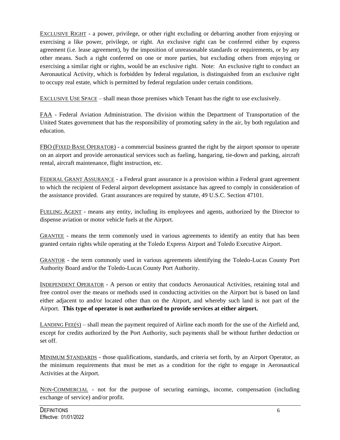EXCLUSIVE RIGHT - a power, privilege, or other right excluding or debarring another from enjoying or exercising a like power, privilege, or right. An exclusive right can be conferred either by express agreement (i.e. lease agreement), by the imposition of unreasonable standards or requirements, or by any other means. Such a right conferred on one or more parties, but excluding others from enjoying or exercising a similar right or rights, would be an exclusive right. Note: An exclusive right to conduct an Aeronautical Activity, which is forbidden by federal regulation, is distinguished from an exclusive right to occupy real estate, which is permitted by federal regulation under certain conditions.

EXCLUSIVE USE SPACE – shall mean those premises which Tenant has the right to use exclusively.

FAA - Federal Aviation Administration. The division within the Department of Transportation of the United States government that has the responsibility of promoting safety in the air, by both regulation and education.

FBO (FIXED BASE OPERATOR) - a commercial business granted the right by the airport sponsor to operate on an airport and provide aeronautical services such as fueling, hangaring, tie-down and parking, aircraft rental, aircraft maintenance, flight instruction, etc.

FEDERAL GRANT ASSURANCE - a Federal grant assurance is a provision within a Federal grant agreement to which the recipient of Federal airport development assistance has agreed to comply in consideration of the assistance provided. Grant assurances are required by statute, 49 U.S.C. Section 47101.

FUELING AGENT - means any entity, including its employees and agents, authorized by the Director to dispense aviation or motor vehicle fuels at the Airport.

GRANTEE - means the term commonly used in various agreements to identify an entity that has been granted certain rights while operating at the Toledo Express Airport and Toledo Executive Airport.

GRANTOR - the term commonly used in various agreements identifying the Toledo-Lucas County Port Authority Board and/or the Toledo-Lucas County Port Authority.

INDEPENDENT OPERATOR - A person or entity that conducts Aeronautical Activities, retaining total and free control over the means or methods used in conducting activities on the Airport but is based on land either adjacent to and/or located other than on the Airport, and whereby such land is not part of the Airport. **This type of operator is not authorized to provide services at either airport.**

LANDING FEE(S) – shall mean the payment required of Airline each month for the use of the Airfield and, except for credits authorized by the Port Authority, such payments shall be without further deduction or set off.

MINIMUM STANDARDS - those qualifications, standards, and criteria set forth, by an Airport Operator, as the minimum requirements that must be met as a condition for the right to engage in Aeronautical Activities at the Airport.

NON-COMMERCIAL - not for the purpose of securing earnings, income, compensation (including exchange of service) and/or profit.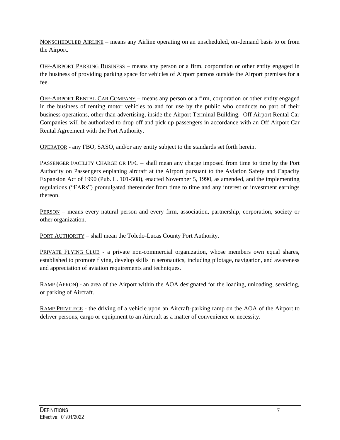NONSCHEDULED AIRLINE – means any Airline operating on an unscheduled, on-demand basis to or from the Airport.

OFF-AIRPORT PARKING BUSINESS – means any person or a firm, corporation or other entity engaged in the business of providing parking space for vehicles of Airport patrons outside the Airport premises for a fee.

OFF-AIRPORT RENTAL CAR COMPANY – means any person or a firm, corporation or other entity engaged in the business of renting motor vehicles to and for use by the public who conducts no part of their business operations, other than advertising, inside the Airport Terminal Building. Off Airport Rental Car Companies will be authorized to drop off and pick up passengers in accordance with an Off Airport Car Rental Agreement with the Port Authority.

OPERATOR - any FBO, SASO, and/or any entity subject to the standards set forth herein.

PASSENGER FACILITY CHARGE OR PFC – shall mean any charge imposed from time to time by the Port Authority on Passengers enplaning aircraft at the Airport pursuant to the Aviation Safety and Capacity Expansion Act of 1990 (Pub. L. 101-508), enacted November 5, 1990, as amended, and the implementing regulations ("FARs") promulgated thereunder from time to time and any interest or investment earnings thereon.

PERSON – means every natural person and every firm, association, partnership, corporation, society or other organization.

PORT AUTHORITY – shall mean the Toledo-Lucas County Port Authority.

PRIVATE FLYING CLUB - a private non-commercial organization, whose members own equal shares, established to promote flying, develop skills in aeronautics, including pilotage, navigation, and awareness and appreciation of aviation requirements and techniques.

RAMP (APRON) - an area of the Airport within the AOA designated for the loading, unloading, servicing, or parking of Aircraft.

RAMP PRIVILEGE - the driving of a vehicle upon an Aircraft-parking ramp on the AOA of the Airport to deliver persons, cargo or equipment to an Aircraft as a matter of convenience or necessity.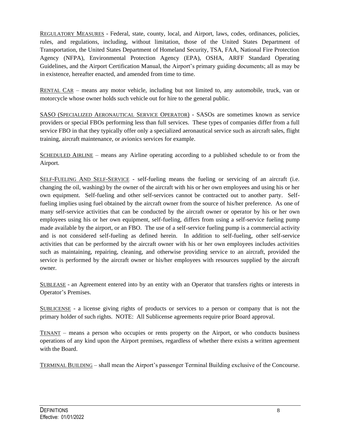REGULATORY MEASURES - Federal, state, county, local, and Airport, laws, codes, ordinances, policies, rules, and regulations, including, without limitation, those of the United States Department of Transportation, the United States Department of Homeland Security, TSA, FAA, National Fire Protection Agency (NFPA), Environmental Protection Agency (EPA), OSHA, ARFF Standard Operating Guidelines, and the Airport Certification Manual, the Airport's primary guiding documents; all as may be in existence, hereafter enacted, and amended from time to time.

RENTAL CAR – means any motor vehicle, including but not limited to, any automobile, truck, van or motorcycle whose owner holds such vehicle out for hire to the general public.

SASO (SPECIALIZED AERONAUTICAL SERVICE OPERATOR) - SASOs are sometimes known as service providers or special FBOs performing less than full services. These types of companies differ from a full service FBO in that they typically offer only a specialized aeronautical service such as aircraft sales, flight training, aircraft maintenance, or avionics services for example.

SCHEDULED AIRLINE – means any Airline operating according to a published schedule to or from the Airport.

SELF-FUELING AND SELF-SERVICE - self-fueling means the fueling or servicing of an aircraft (i.e. changing the oil, washing) by the owner of the aircraft with his or her own employees and using his or her own equipment. Self-fueling and other self-services cannot be contracted out to another party. Selffueling implies using fuel obtained by the aircraft owner from the source of his/her preference. As one of many self-service activities that can be conducted by the aircraft owner or operator by his or her own employees using his or her own equipment, self-fueling, differs from using a self-service fueling pump made available by the airport, or an FBO. The use of a self-service fueling pump is a commercial activity and is not considered self-fueling as defined herein. In addition to self-fueling, other self-service activities that can be performed by the aircraft owner with his or her own employees includes activities such as maintaining, repairing, cleaning, and otherwise providing service to an aircraft, provided the service is performed by the aircraft owner or his/her employees with resources supplied by the aircraft owner.

SUBLEASE - an Agreement entered into by an entity with an Operator that transfers rights or interests in Operator's Premises.

SUBLICENSE - a license giving rights of products or services to a person or company that is not the primary holder of such rights. NOTE: All Sublicense agreements require prior Board approval.

TENANT – means a person who occupies or rents property on the Airport, or who conducts business operations of any kind upon the Airport premises, regardless of whether there exists a written agreement with the Board.

TERMINAL BUILDING – shall mean the Airport's passenger Terminal Building exclusive of the Concourse.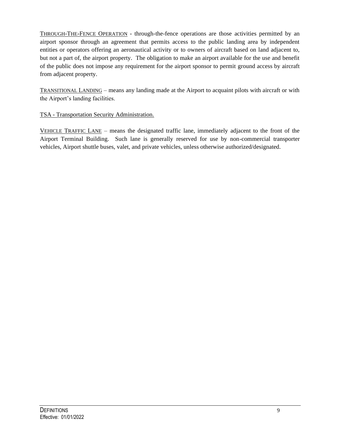THROUGH-THE-FENCE OPERATION - through-the-fence operations are those activities permitted by an airport sponsor through an agreement that permits access to the public landing area by independent entities or operators offering an aeronautical activity or to owners of aircraft based on land adjacent to, but not a part of, the airport property. The obligation to make an airport available for the use and benefit of the public does not impose any requirement for the airport sponsor to permit ground access by aircraft from adjacent property.

TRANSITIONAL LANDING – means any landing made at the Airport to acquaint pilots with aircraft or with the Airport's landing facilities.

#### TSA - Transportation Security Administration.

VEHICLE TRAFFIC LANE – means the designated traffic lane, immediately adjacent to the front of the Airport Terminal Building. Such lane is generally reserved for use by non-commercial transporter vehicles, Airport shuttle buses, valet, and private vehicles, unless otherwise authorized/designated.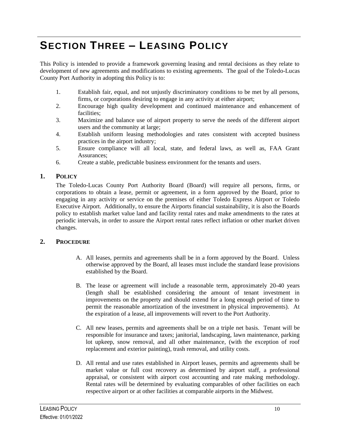# <span id="page-12-0"></span>**SECTION THREE – LEASING POLICY**

This Policy is intended to provide a framework governing leasing and rental decisions as they relate to development of new agreements and modifications to existing agreements. The goal of the Toledo-Lucas County Port Authority in adopting this Policy is to:

- 1. Establish fair, equal, and not unjustly discriminatory conditions to be met by all persons, firms, or corporations desiring to engage in any activity at either airport;
- 2. Encourage high quality development and continued maintenance and enhancement of facilities;
- 3. Maximize and balance use of airport property to serve the needs of the different airport users and the community at large;
- 4. Establish uniform leasing methodologies and rates consistent with accepted business practices in the airport industry;
- 5. Ensure compliance will all local, state, and federal laws, as well as, FAA Grant Assurances;
- 6. Create a stable, predictable business environment for the tenants and users.

#### <span id="page-12-1"></span>**1. POLICY**

The Toledo-Lucas County Port Authority Board (Board) will require all persons, firms, or corporations to obtain a lease, permit or agreement, in a form approved by the Board, prior to engaging in any activity or service on the premises of either Toledo Express Airport or Toledo Executive Airport. Additionally, to ensure the Airports financial sustainability, it is also the Boards policy to establish market value land and facility rental rates and make amendments to the rates at periodic intervals, in order to assure the Airport rental rates reflect inflation or other market driven changes.

#### <span id="page-12-2"></span>**2. PROCEDURE**

- A. All leases, permits and agreements shall be in a form approved by the Board. Unless otherwise approved by the Board, all leases must include the standard lease provisions established by the Board.
- B. The lease or agreement will include a reasonable term, approximately 20-40 years (length shall be established considering the amount of tenant investment in improvements on the property and should extend for a long enough period of time to permit the reasonable amortization of the investment in physical improvements). At the expiration of a lease, all improvements will revert to the Port Authority.
- C. All new leases, permits and agreements shall be on a triple net basis. Tenant will be responsible for insurance and taxes; janitorial, landscaping, lawn maintenance, parking lot upkeep, snow removal, and all other maintenance, (with the exception of roof replacement and exterior painting), trash removal, and utility costs.
- D. All rental and use rates established in Airport leases, permits and agreements shall be market value or full cost recovery as determined by airport staff, a professional appraisal, or consistent with airport cost accounting and rate making methodology. Rental rates will be determined by evaluating comparables of other facilities on each respective airport or at other facilities at comparable airports in the Midwest.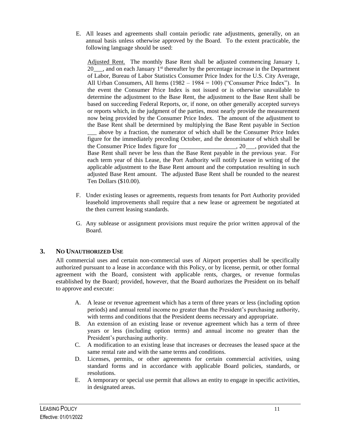E. All leases and agreements shall contain periodic rate adjustments, generally, on an annual basis unless otherwise approved by the Board. To the extent practicable, the following language should be used:

Adjusted Rent. The monthly Base Rent shall be adjusted commencing January 1, 20 $\ldots$ , and on each January 1<sup>st</sup> thereafter by the percentage increase in the Department of Labor, Bureau of Labor Statistics Consumer Price Index for the U.S. City Average, All Urban Consumers, All Items (1982 – 1984 = 100) ("Consumer Price Index"). In the event the Consumer Price Index is not issued or is otherwise unavailable to determine the adjustment to the Base Rent, the adjustment to the Base Rent shall be based on succeeding Federal Reports, or, if none, on other generally accepted surveys or reports which, in the judgment of the parties, most nearly provide the measurement now being provided by the Consumer Price Index. The amount of the adjustment to the Base Rent shall be determined by multiplying the Base Rent payable in Section above by a fraction, the numerator of which shall be the Consumer Price Index figure for the immediately preceding October, and the denominator of which shall be the Consumer Price Index figure for \_\_\_\_\_\_\_\_\_\_\_\_\_\_\_\_\_\_\_, 20\_\_\_, provided that the Base Rent shall never be less than the Base Rent payable in the previous year. For each term year of this Lease, the Port Authority will notify Lessee in writing of the applicable adjustment to the Base Rent amount and the computation resulting in such adjusted Base Rent amount. The adjusted Base Rent shall be rounded to the nearest Ten Dollars (\$10.00).

- F. Under existing leases or agreements, requests from tenants for Port Authority provided leasehold improvements shall require that a new lease or agreement be negotiated at the then current leasing standards.
- G. Any sublease or assignment provisions must require the prior written approval of the Board.

#### <span id="page-13-0"></span>**3. NO UNAUTHORIZED USE**

All commercial uses and certain non-commercial uses of Airport properties shall be specifically authorized pursuant to a lease in accordance with this Policy, or by license, permit, or other formal agreement with the Board, consistent with applicable rents, charges, or revenue formulas established by the Board; provided, however, that the Board authorizes the President on its behalf to approve and execute:

- A. A lease or revenue agreement which has a term of three years or less (including option periods) and annual rental income no greater than the President's purchasing authority, with terms and conditions that the President deems necessary and appropriate.
- B. An extension of an existing lease or revenue agreement which has a term of three years or less (including option terms) and annual income no greater than the President's purchasing authority.
- C. A modification to an existing lease that increases or decreases the leased space at the same rental rate and with the same terms and conditions.
- D. Licenses, permits, or other agreements for certain commercial activities, using standard forms and in accordance with applicable Board policies, standards, or resolutions.
- E. A temporary or special use permit that allows an entity to engage in specific activities, in designated areas.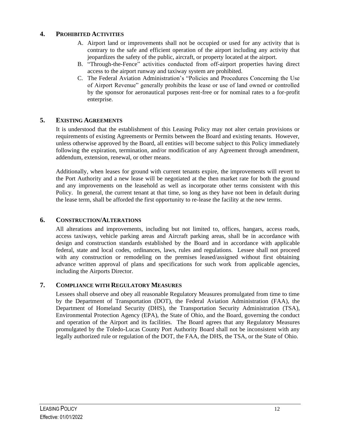#### <span id="page-14-0"></span>**4. PROHIBITED ACTIVITIES**

- A. Airport land or improvements shall not be occupied or used for any activity that is contrary to the safe and efficient operation of the airport including any activity that jeopardizes the safety of the public, aircraft, or property located at the airport.
- B. "Through-the-Fence" activities conducted from off-airport properties having direct access to the airport runway and taxiway system are prohibited.
- C. The Federal Aviation Administration's "Policies and Procedures Concerning the Use of Airport Revenue" generally prohibits the lease or use of land owned or controlled by the sponsor for aeronautical purposes rent-free or for nominal rates to a for-profit enterprise.

#### <span id="page-14-1"></span>**5. EXISTING AGREEMENTS**

It is understood that the establishment of this Leasing Policy may not alter certain provisions or requirements of existing Agreements or Permits between the Board and existing tenants. However, unless otherwise approved by the Board, all entities will become subject to this Policy immediately following the expiration, termination, and/or modification of any Agreement through amendment, addendum, extension, renewal, or other means.

Additionally, when leases for ground with current tenants expire, the improvements will revert to the Port Authority and a new lease will be negotiated at the then market rate for both the ground and any improvements on the leasehold as well as incorporate other terms consistent with this Policy. In general, the current tenant at that time, so long as they have not been in default during the lease term, shall be afforded the first opportunity to re-lease the facility at the new terms.

#### <span id="page-14-2"></span>**6. CONSTRUCTION/ALTERATIONS**

All alterations and improvements, including but not limited to, offices, hangars, access roads, access taxiways, vehicle parking areas and Aircraft parking areas, shall be in accordance with design and construction standards established by the Board and in accordance with applicable federal, state and local codes, ordinances, laws, rules and regulations. Lessee shall not proceed with any construction or remodeling on the premises leased/assigned without first obtaining advance written approval of plans and specifications for such work from applicable agencies, including the Airports Director.

#### <span id="page-14-3"></span>**7. COMPLIANCE WITH REGULATORY MEASURES**

Lessees shall observe and obey all reasonable Regulatory Measures promulgated from time to time by the Department of Transportation (DOT), the Federal Aviation Administration (FAA), the Department of Homeland Security (DHS), the Transportation Security Administration (TSA), Environmental Protection Agency (EPA), the State of Ohio, and the Board, governing the conduct and operation of the Airport and its facilities. The Board agrees that any Regulatory Measures promulgated by the Toledo-Lucas County Port Authority Board shall not be inconsistent with any legally authorized rule or regulation of the DOT, the FAA, the DHS, the TSA, or the State of Ohio.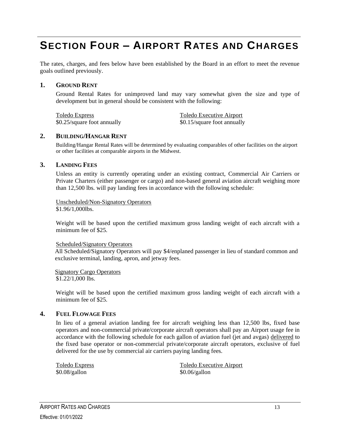# <span id="page-15-0"></span>**SECTION FOUR – AIRPORT RATES AND CHARGES**

The rates, charges, and fees below have been established by the Board in an effort to meet the revenue goals outlined previously.

#### <span id="page-15-1"></span>**1. GROUND RENT**

Ground Rental Rates for unimproved land may vary somewhat given the size and type of development but in general should be consistent with the following:

\$0.25/square foot annually \$0.15/square foot annually

Toledo Express<br>
\$0.25/square foot annually<br>
\$0.15/square foot annually<br>
\$0.15/square foot annually

#### <span id="page-15-2"></span>**2. BUILDING/HANGAR RENT**

Building/Hangar Rental Rates will be determined by evaluating comparables of other facilities on the airport or other facilities at comparable airports in the Midwest.

#### <span id="page-15-3"></span>**3. LANDING FEES**

Unless an entity is currently operating under an existing contract, Commercial Air Carriers or Private Charters (either passenger or cargo) and non-based general aviation aircraft weighing more than 12,500 lbs. will pay landing fees in accordance with the following schedule:

Unscheduled/Non-Signatory Operators \$1.96/1,000lbs.

Weight will be based upon the certified maximum gross landing weight of each aircraft with a minimum fee of \$25.

#### Scheduled/Signatory Operators

All Scheduled/Signatory Operators will pay \$4/enplaned passenger in lieu of standard common and exclusive terminal, landing, apron, and jetway fees.

Signatory Cargo Operators \$1.22/1,000 lbs.

Weight will be based upon the certified maximum gross landing weight of each aircraft with a minimum fee of \$25

#### <span id="page-15-4"></span>**4. FUEL FLOWAGE FEES**

In lieu of a general aviation landing fee for aircraft weighing less than 12,500 lbs, fixed base operators and non-commercial private/corporate aircraft operators shall pay an Airport usage fee in accordance with the following schedule for each gallon of aviation fuel (jet and avgas) delivered to the fixed base operator or non-commercial private/corporate aircraft operators, exclusive of fuel delivered for the use by commercial air carriers paying landing fees.

 $$0.08/gallon$  \$0.06/gallon

Toledo Express Toledo Executive Airport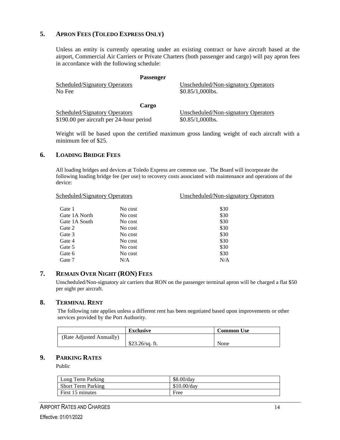#### <span id="page-16-0"></span>**5. APRON FEES (TOLEDO EXPRESS ONLY)**

Unless an entity is currently operating under an existing contract or have aircraft based at the airport, Commercial Air Carriers or Private Charters (both passenger and cargo) will pay apron fees in accordance with the following schedule:

|                               | <b>Passenger</b> |                                     |
|-------------------------------|------------------|-------------------------------------|
| Scheduled/Signatory Operators |                  | Unscheduled/Non-signatory Operators |
| No Fee                        |                  | $$0.85/1,000$ lbs.                  |
|                               |                  |                                     |
|                               | Cargo            |                                     |
| Scheduled/Signatory Operators |                  | Unscheduled/Non-signatory Operators |

\$190.00 per aircraft per 24-hour period \$0.85/1,000lbs.

Weight will be based upon the certified maximum gross landing weight of each aircraft with a minimum fee of \$25.

#### <span id="page-16-1"></span>**6. LOADING BRIDGE FEES**

All loading bridges and devices at Toledo Express are common use. The Board will incorporate the following loading bridge fee (per use) to recovery costs associated with maintenance and operations of the device:

| Scheduled/Signatory Operators |         | Unscheduled/Non-signatory Operators |
|-------------------------------|---------|-------------------------------------|
| Gate 1                        | No cost | \$30                                |
| Gate 1A North                 | No cost | \$30                                |
| Gate 1A South                 | No cost | \$30                                |
| Gate 2                        | No cost | \$30                                |
| Gate 3                        | No cost | \$30                                |
| Gate 4                        | No cost | \$30                                |
| Gate 5                        | No cost | \$30                                |
| Gate 6                        | No cost | \$30                                |
| Gate 7                        | N/A     | N/A                                 |

#### <span id="page-16-2"></span>**7. REMAIN OVER NIGHT (RON) FEES**

Unscheduled/Non-signatory air carriers that RON on the passenger terminal apron will be charged a flat \$50 per night per aircraft.

#### <span id="page-16-3"></span>**8. TERMINAL RENT**

The following rate applies unless a different rent has been negotiated based upon improvements or other services provided by the Port Authority.

|                          | <b>Exclusive</b> | <b>Common Use</b> |
|--------------------------|------------------|-------------------|
| (Rate Adjusted Annually) |                  |                   |
|                          | $$23.26/sq.$ ft. | None              |

#### <span id="page-16-4"></span>**9. PARKING RATES**

Public

| Long Term Parking         | \$8.00/dav    |
|---------------------------|---------------|
| <b>Short Term Parking</b> | $$10.00$ /dav |
| First 15 minutes          | Free          |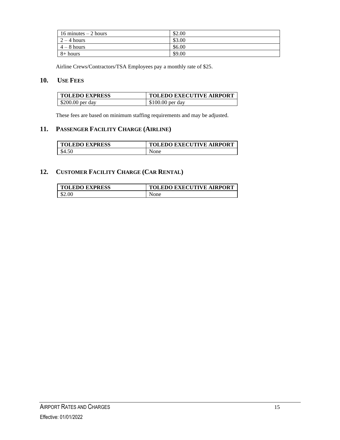| 16 minutes $-2$ hours | \$2.00 |
|-----------------------|--------|
| $\sqrt{2} - 4$ hours  | \$3.00 |
| $4 - 8$ hours         | \$6.00 |
| $8+$ hours            | \$9.00 |

<span id="page-17-0"></span>Airline Crews/Contractors/TSA Employees pay a monthly rate of \$25.

#### **10. USE FEES**

| <b>TOLEDO EXPRESS</b> | <b>TOLEDO EXECUTIVE AIRPORT</b> |
|-----------------------|---------------------------------|
| $$200.00$ per day     | $$100.00$ per day               |

These fees are based on minimum staffing requirements and may be adjusted.

#### <span id="page-17-1"></span>**11. PASSENGER FACILITY CHARGE (AIRLINE)**

| <b>TOLEDO EXPRESS</b> | <b>TOLEDO EXECUTIVE AIRPORT</b> |
|-----------------------|---------------------------------|
| \$4.50                | None                            |

#### <span id="page-17-2"></span>**12. CUSTOMER FACILITY CHARGE (CAR RENTAL)**

| <b>TOLEDO EXPRESS</b> | <b>TOLEDO EXECUTIVE AIRPORT</b> |
|-----------------------|---------------------------------|
| \$2.00                | None                            |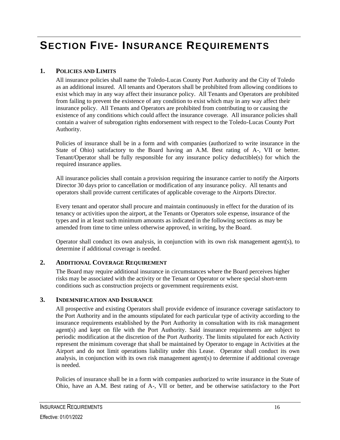# <span id="page-18-0"></span>**SECTION FIVE- INSURANCE REQUIREMENTS**

#### <span id="page-18-1"></span>**1. POLICIES AND LIMITS**

All insurance policies shall name the Toledo-Lucas County Port Authority and the City of Toledo as an additional insured. All tenants and Operators shall be prohibited from allowing conditions to exist which may in any way affect their insurance policy. All Tenants and Operators are prohibited from failing to prevent the existence of any condition to exist which may in any way affect their insurance policy. All Tenants and Operators are prohibited from contributing to or causing the existence of any conditions which could affect the insurance coverage. All insurance policies shall contain a waiver of subrogation rights endorsement with respect to the Toledo-Lucas County Port Authority.

Policies of insurance shall be in a form and with companies (authorized to write insurance in the State of Ohio) satisfactory to the Board having an A.M. Best rating of A-, VII or better. Tenant/Operator shall be fully responsible for any insurance policy deductible(s) for which the required insurance applies.

All insurance policies shall contain a provision requiring the insurance carrier to notify the Airports Director 30 days prior to cancellation or modification of any insurance policy. All tenants and operators shall provide current certificates of applicable coverage to the Airports Director.

Every tenant and operator shall procure and maintain continuously in effect for the duration of its tenancy or activities upon the airport, at the Tenants or Operators sole expense, insurance of the types and in at least such minimum amounts as indicated in the following sections as may be amended from time to time unless otherwise approved, in writing, by the Board.

Operator shall conduct its own analysis, in conjunction with its own risk management agent(s), to determine if additional coverage is needed.

#### <span id="page-18-2"></span>**2. ADDITIONAL COVERAGE REQUIREMENT**

The Board may require additional insurance in circumstances where the Board perceives higher risks may be associated with the activity or the Tenant or Operator or where special short-term conditions such as construction projects or government requirements exist.

#### <span id="page-18-3"></span>**3. INDEMNIFICATION AND INSURANCE**

All prospective and existing Operators shall provide evidence of insurance coverage satisfactory to the Port Authority and in the amounts stipulated for each particular type of activity according to the insurance requirements established by the Port Authority in consultation with its risk management agent(s) and kept on file with the Port Authority. Said insurance requirements are subject to periodic modification at the discretion of the Port Authority. The limits stipulated for each Activity represent the minimum coverage that shall be maintained by Operator to engage in Activities at the Airport and do not limit operations liability under this Lease. Operator shall conduct its own analysis, in conjunction with its own risk management agent(s) to determine if additional coverage is needed.

Policies of insurance shall be in a form with companies authorized to write insurance in the State of Ohio, have an A.M. Best rating of A-, VII or better, and be otherwise satisfactory to the Port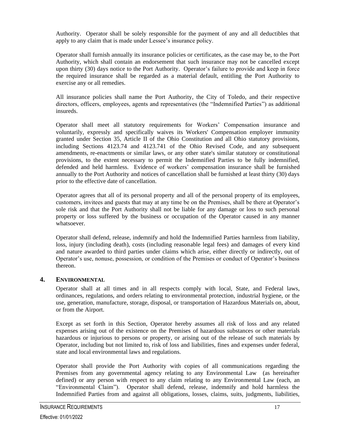Authority. Operator shall be solely responsible for the payment of any and all deductibles that apply to any claim that is made under Lessee's insurance policy.

Operator shall furnish annually its insurance policies or certificates, as the case may be, to the Port Authority, which shall contain an endorsement that such insurance may not be cancelled except upon thirty (30) days notice to the Port Authority. Operator's failure to provide and keep in force the required insurance shall be regarded as a material default, entitling the Port Authority to exercise any or all remedies.

All insurance policies shall name the Port Authority, the City of Toledo, and their respective directors, officers, employees, agents and representatives (the "Indemnified Parties") as additional insureds.

Operator shall meet all statutory requirements for Workers' Compensation insurance and voluntarily, expressly and specifically waives its Workers' Compensation employer immunity granted under Section 35, Article II of the Ohio Constitution and all Ohio statutory provisions, including Sections 4123.74 and 4123.741 of the Ohio Revised Code, and any subsequent amendments, re-enactments or similar laws, or any other state's similar statutory or constitutional provisions, to the extent necessary to permit the Indemnified Parties to be fully indemnified, defended and held harmless. Evidence of workers' compensation insurance shall be furnished annually to the Port Authority and notices of cancellation shall be furnished at least thirty (30) days prior to the effective date of cancellation.

Operator agrees that all of its personal property and all of the personal property of its employees, customers, invitees and guests that may at any time be on the Premises, shall be there at Operator's sole risk and that the Port Authority shall not be liable for any damage or loss to such personal property or loss suffered by the business or occupation of the Operator caused in any manner whatsoever.

Operator shall defend, release, indemnify and hold the Indemnified Parties harmless from liability, loss, injury (including death), costs (including reasonable legal fees) and damages of every kind and nature awarded to third parties under claims which arise, either directly or indirectly, out of Operator's use, nonuse, possession, or condition of the Premises or conduct of Operator's business thereon.

#### <span id="page-19-0"></span>**4. ENVIRONMENTAL**

Operator shall at all times and in all respects comply with local, State, and Federal laws, ordinances, regulations, and orders relating to environmental protection, industrial hygiene, or the use, generation, manufacture, storage, disposal, or transportation of Hazardous Materials on, about, or from the Airport.

Except as set forth in this Section, Operator hereby assumes all risk of loss and any related expenses arising out of the existence on the Premises of hazardous substances or other materials hazardous or injurious to persons or property, or arising out of the release of such materials by Operator, including but not limited to, risk of loss and liabilities, fines and expenses under federal, state and local environmental laws and regulations.

Operator shall provide the Port Authority with copies of all communications regarding the Premises from any governmental agency relating to any Environmental Law (as hereinafter defined) or any person with respect to any claim relating to any Environmental Law (each, an "Environmental Claim"). Operator shall defend, release, indemnify and hold harmless the Indemnified Parties from and against all obligations, losses, claims, suits, judgments, liabilities,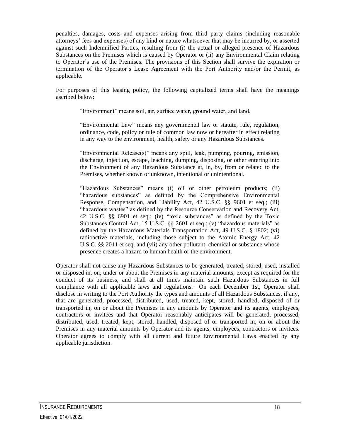penalties, damages, costs and expenses arising from third party claims (including reasonable attorneys' fees and expenses) of any kind or nature whatsoever that may be incurred by, or asserted against such Indemnified Parties, resulting from (i) the actual or alleged presence of Hazardous Substances on the Premises which is caused by Operator or (ii) any Environmental Claim relating to Operator's use of the Premises. The provisions of this Section shall survive the expiration or termination of the Operator's Lease Agreement with the Port Authority and/or the Permit, as applicable.

For purposes of this leasing policy, the following capitalized terms shall have the meanings ascribed below:

"Environment" means soil, air, surface water, ground water, and land.

"Environmental Law" means any governmental law or statute, rule, regulation, ordinance, code, policy or rule of common law now or hereafter in effect relating in any way to the environment, health, safety or any Hazardous Substances.

"Environmental Release(s)" means any spill, leak, pumping, pouring, emission, discharge, injection, escape, leaching, dumping, disposing, or other entering into the Environment of any Hazardous Substance at, in, by, from or related to the Premises, whether known or unknown, intentional or unintentional.

"Hazardous Substances" means (i) oil or other petroleum products; (ii) "hazardous substances" as defined by the Comprehensive Environmental Response, Compensation, and Liability Act, 42 U.S.C. §§ 9601 et seq.; (iii) "hazardous wastes" as defined by the Resource Conservation and Recovery Act, 42 U.S.C. §§ 6901 et seq.; (iv) "toxic substances" as defined by the Toxic Substances Control Act, 15 U.S.C. §§ 2601 et seq.; (v) "hazardous materials" as defined by the Hazardous Materials Transportation Act, 49 U.S.C. § 1802; (vi) radioactive materials, including those subject to the Atomic Energy Act, 42 U.S.C. §§ 2011 et seq. and (vii) any other pollutant, chemical or substance whose presence creates a hazard to human health or the environment.

Operator shall not cause any Hazardous Substances to be generated, treated, stored, used, installed or disposed in, on, under or about the Premises in any material amounts, except as required for the conduct of its business, and shall at all times maintain such Hazardous Substances in full compliance with all applicable laws and regulations. On each December 1st, Operator shall disclose in writing to the Port Authority the types and amounts of all Hazardous Substances, if any, that are generated, processed, distributed, used, treated, kept, stored, handled, disposed of or transported in, on or about the Premises in any amounts by Operator and its agents, employees, contractors or invitees and that Operator reasonably anticipates will be generated, processed, distributed, used, treated, kept, stored, handled, disposed of or transported in, on or about the Premises in any material amounts by Operator and its agents, employees, contractors or invitees. Operator agrees to comply with all current and future Environmental Laws enacted by any applicable jurisdiction.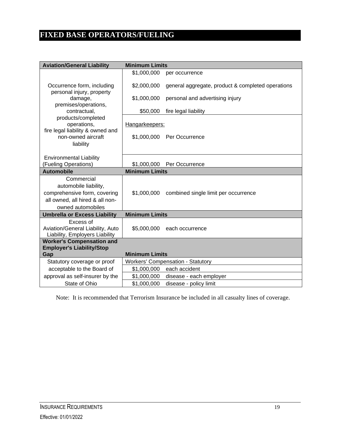### <span id="page-21-0"></span>**FIXED BASE OPERATORS/FUELING**

| <b>Aviation/General Liability</b>                                                                      | <b>Minimum Limits</b>             |                                                   |  |
|--------------------------------------------------------------------------------------------------------|-----------------------------------|---------------------------------------------------|--|
|                                                                                                        | \$1,000,000                       | per occurrence                                    |  |
| Occurrence form, including<br>personal injury, property                                                | \$2,000,000                       | general aggregate, product & completed operations |  |
| damage,                                                                                                | \$1,000,000                       | personal and advertising injury                   |  |
| premises/operations,<br>contractual,                                                                   | \$50,000                          | fire legal liability                              |  |
| products/completed<br>operations,<br>fire legal liability & owned and                                  | Hangarkeepers:                    |                                                   |  |
| non-owned aircraft                                                                                     | \$1,000,000                       | Per Occurrence                                    |  |
| liability                                                                                              |                                   |                                                   |  |
| <b>Environmental Liability</b>                                                                         |                                   |                                                   |  |
| (Fueling Operations)                                                                                   | \$1,000,000                       | Per Occurrence                                    |  |
| <b>Automobile</b>                                                                                      | <b>Minimum Limits</b>             |                                                   |  |
| Commercial<br>automobile liability,<br>comprehensive form, covering<br>all owned, all hired & all non- |                                   | \$1,000,000 combined single limit per occurrence  |  |
| owned automobiles                                                                                      |                                   |                                                   |  |
| <b>Umbrella or Excess Liability</b>                                                                    | <b>Minimum Limits</b>             |                                                   |  |
| Excess of<br>Aviation/General Liability, Auto<br>Liability, Employers Liability                        | \$5,000,000                       | each occurrence                                   |  |
| <b>Worker's Compensation and</b><br><b>Employer's Liability/Stop</b>                                   |                                   |                                                   |  |
| <b>Minimum Limits</b><br>Gap                                                                           |                                   |                                                   |  |
| Statutory coverage or proof                                                                            | Workers' Compensation - Statutory |                                                   |  |
| acceptable to the Board of                                                                             | \$1,000,000 each accident         |                                                   |  |
| approval as self-insurer by the                                                                        | \$1,000,000                       | disease - each employer                           |  |
| State of Ohio                                                                                          | \$1,000,000                       | disease - policy limit                            |  |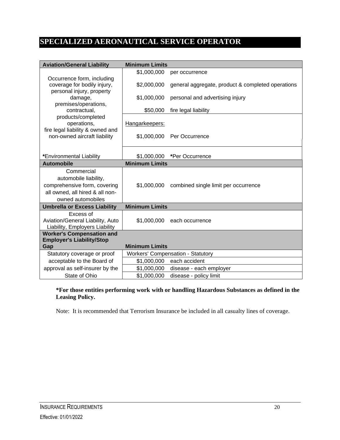### <span id="page-22-0"></span>**SPECIALIZED AERONAUTICAL SERVICE OPERATOR**

| <b>Aviation/General Liability</b>                                  | <b>Minimum Limits</b> |                                                   |
|--------------------------------------------------------------------|-----------------------|---------------------------------------------------|
|                                                                    | \$1,000,000           | per occurrence                                    |
| Occurrence form, including                                         |                       |                                                   |
| coverage for bodily injury,                                        | \$2,000,000           | general aggregate, product & completed operations |
| personal injury, property<br>damage,                               | \$1,000,000           | personal and advertising injury                   |
| premises/operations,                                               |                       |                                                   |
| contractual,                                                       | \$50,000              | fire legal liability                              |
| products/completed                                                 |                       |                                                   |
| operations,                                                        | Hangarkeepers:        |                                                   |
| fire legal liability & owned and                                   |                       |                                                   |
| non-owned aircraft liability                                       | \$1,000,000           | Per Occurrence                                    |
|                                                                    |                       |                                                   |
| *Environmental Liability                                           | \$1,000,000           | *Per Occurrence                                   |
| <b>Automobile</b>                                                  | <b>Minimum Limits</b> |                                                   |
| Commercial                                                         |                       |                                                   |
| automobile liability,                                              |                       |                                                   |
| comprehensive form, covering                                       | \$1,000,000           | combined single limit per occurrence              |
| all owned, all hired & all non-                                    |                       |                                                   |
| owned automobiles                                                  |                       |                                                   |
| <b>Umbrella or Excess Liability</b>                                | <b>Minimum Limits</b> |                                                   |
| Excess of                                                          |                       |                                                   |
| Aviation/General Liability, Auto                                   | \$1,000,000           | each occurrence                                   |
| Liability, Employers Liability<br><b>Worker's Compensation and</b> |                       |                                                   |
| <b>Employer's Liability/Stop</b>                                   |                       |                                                   |
| Gap                                                                | <b>Minimum Limits</b> |                                                   |
| Statutory coverage or proof                                        |                       | <b>Workers' Compensation - Statutory</b>          |
| acceptable to the Board of                                         | \$1,000,000           | each accident                                     |
| approval as self-insurer by the                                    | \$1,000,000           | disease - each employer                           |
| State of Ohio                                                      | \$1,000,000           | disease - policy limit                            |

#### **\*For those entities performing work with or handling Hazardous Substances as defined in the Leasing Policy.**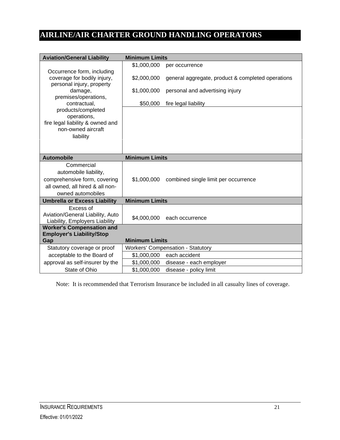### <span id="page-23-0"></span>**AIRLINE/AIR CHARTER GROUND HANDLING OPERATORS**

| <b>Aviation/General Liability</b>                                                                                           | <b>Minimum Limits</b> |                                                   |
|-----------------------------------------------------------------------------------------------------------------------------|-----------------------|---------------------------------------------------|
|                                                                                                                             | \$1,000,000           | per occurrence                                    |
| Occurrence form, including<br>coverage for bodily injury,<br>personal injury, property                                      | \$2,000,000           | general aggregate, product & completed operations |
| damage,                                                                                                                     | \$1,000,000           | personal and advertising injury                   |
| premises/operations,<br>contractual,                                                                                        | \$50,000              | fire legal liability                              |
| products/completed<br>operations,                                                                                           |                       |                                                   |
| fire legal liability & owned and                                                                                            |                       |                                                   |
| non-owned aircraft                                                                                                          |                       |                                                   |
| liability                                                                                                                   |                       |                                                   |
|                                                                                                                             |                       |                                                   |
| <b>Automobile</b>                                                                                                           | <b>Minimum Limits</b> |                                                   |
| Commercial<br>automobile liability,<br>comprehensive form, covering<br>all owned, all hired & all non-<br>owned automobiles |                       | \$1,000,000 combined single limit per occurrence  |
| <b>Umbrella or Excess Liability</b>                                                                                         | <b>Minimum Limits</b> |                                                   |
| Excess of                                                                                                                   |                       |                                                   |
| Aviation/General Liability, Auto<br>Liability, Employers Liability                                                          | \$4,000,000           | each occurrence                                   |
| <b>Worker's Compensation and</b>                                                                                            |                       |                                                   |
| <b>Employer's Liability/Stop</b><br>Gap                                                                                     | <b>Minimum Limits</b> |                                                   |
| Statutory coverage or proof                                                                                                 |                       | <b>Workers' Compensation - Statutory</b>          |
| acceptable to the Board of                                                                                                  | \$1,000,000           | each accident                                     |
| approval as self-insurer by the                                                                                             | \$1,000,000           | disease - each employer                           |
| State of Ohio                                                                                                               | \$1,000,000           | disease - policy limit                            |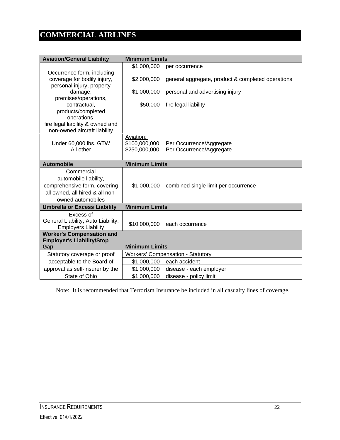# <span id="page-24-0"></span>**COMMERCIAL AIRLINES**

| <b>Aviation/General Liability</b>                              | <b>Minimum Limits</b>                  |                                                   |
|----------------------------------------------------------------|----------------------------------------|---------------------------------------------------|
|                                                                | \$1,000,000                            | per occurrence                                    |
| Occurrence form, including                                     |                                        |                                                   |
| coverage for bodily injury,                                    | \$2,000,000                            | general aggregate, product & completed operations |
| personal injury, property                                      |                                        |                                                   |
| damage,<br>premises/operations,                                | \$1,000,000                            | personal and advertising injury                   |
| contractual,                                                   | \$50,000                               | fire legal liability                              |
| products/completed                                             |                                        |                                                   |
| operations,                                                    |                                        |                                                   |
| fire legal liability & owned and                               |                                        |                                                   |
| non-owned aircraft liability                                   |                                        |                                                   |
| Under 60,000 lbs. GTW                                          | Aviation:<br>\$100,000,000             | Per Occurrence/Aggregate                          |
| All other                                                      | \$250,000,000                          | Per Occurrence/Aggregate                          |
|                                                                |                                        |                                                   |
| <b>Automobile</b>                                              | <b>Minimum Limits</b>                  |                                                   |
| Commercial                                                     |                                        |                                                   |
| automobile liability,                                          |                                        |                                                   |
| comprehensive form, covering                                   |                                        | \$1,000,000 combined single limit per occurrence  |
| all owned, all hired & all non-                                |                                        |                                                   |
| owned automobiles                                              |                                        |                                                   |
| <b>Umbrella or Excess Liability</b>                            | <b>Minimum Limits</b>                  |                                                   |
| Excess of                                                      |                                        |                                                   |
| General Liability, Auto Liability,                             | \$10,000,000                           | each occurrence                                   |
| <b>Employers Liability</b><br><b>Worker's Compensation and</b> |                                        |                                                   |
| <b>Employer's Liability/Stop</b>                               |                                        |                                                   |
| Gap                                                            | <b>Minimum Limits</b>                  |                                                   |
| Statutory coverage or proof                                    |                                        | <b>Workers' Compensation - Statutory</b>          |
| acceptable to the Board of                                     | \$1,000,000<br>each accident           |                                                   |
| approval as self-insurer by the                                | \$1,000,000<br>disease - each employer |                                                   |
| State of Ohio                                                  | \$1,000,000                            | disease - policy limit                            |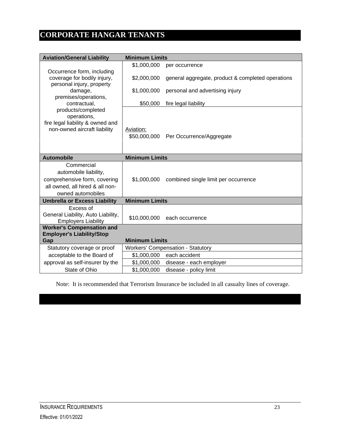# <span id="page-25-0"></span>**CORPORATE HANGAR TENANTS**

| <b>Aviation/General Liability</b>                                                                                           | <b>Minimum Limits</b>     |                                                           |
|-----------------------------------------------------------------------------------------------------------------------------|---------------------------|-----------------------------------------------------------|
|                                                                                                                             | \$1,000,000               | per occurrence                                            |
| Occurrence form, including<br>coverage for bodily injury,<br>personal injury, property                                      | \$2,000,000               | general aggregate, product & completed operations         |
| damage,<br>premises/operations,                                                                                             | \$1,000,000               | personal and advertising injury                           |
| contractual,                                                                                                                | \$50,000                  | fire legal liability                                      |
| products/completed<br>operations,<br>fire legal liability & owned and<br>non-owned aircraft liability                       | Aviation:<br>\$50,000,000 | Per Occurrence/Aggregate                                  |
| <b>Automobile</b>                                                                                                           | <b>Minimum Limits</b>     |                                                           |
| Commercial<br>automobile liability,<br>comprehensive form, covering<br>all owned, all hired & all non-<br>owned automobiles |                           | \$1,000,000 combined single limit per occurrence          |
| <b>Umbrella or Excess Liability</b>                                                                                         | <b>Minimum Limits</b>     |                                                           |
| Excess of                                                                                                                   |                           |                                                           |
| General Liability, Auto Liability,<br><b>Employers Liability</b>                                                            | \$10,000,000              | each occurrence                                           |
| <b>Worker's Compensation and</b>                                                                                            |                           |                                                           |
| <b>Employer's Liability/Stop</b>                                                                                            |                           |                                                           |
| Gap                                                                                                                         | <b>Minimum Limits</b>     |                                                           |
| Statutory coverage or proof<br>acceptable to the Board of                                                                   | \$1,000,000               | <b>Workers' Compensation - Statutory</b><br>each accident |
| approval as self-insurer by the                                                                                             | \$1,000,000               | disease - each employer                                   |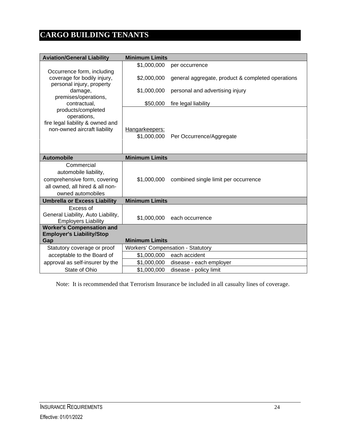# <span id="page-26-0"></span>**CARGO BUILDING TENANTS**

| <b>Aviation/General Liability</b>                                                                                           | <b>Minimum Limits</b>                  |                                                   |
|-----------------------------------------------------------------------------------------------------------------------------|----------------------------------------|---------------------------------------------------|
|                                                                                                                             | \$1,000,000                            | per occurrence                                    |
| Occurrence form, including<br>coverage for bodily injury,                                                                   | \$2,000,000                            | general aggregate, product & completed operations |
| personal injury, property<br>damage,<br>premises/operations,                                                                | \$1,000,000                            | personal and advertising injury                   |
| contractual,                                                                                                                | \$50,000                               | fire legal liability                              |
| products/completed<br>operations,<br>fire legal liability & owned and<br>non-owned aircraft liability                       | Hangarkeepers:<br>\$1,000,000          | Per Occurrence/Aggregate                          |
| <b>Automobile</b>                                                                                                           | <b>Minimum Limits</b>                  |                                                   |
| Commercial<br>automobile liability,<br>comprehensive form, covering<br>all owned, all hired & all non-<br>owned automobiles | \$1,000,000                            | combined single limit per occurrence              |
| <b>Umbrella or Excess Liability</b>                                                                                         | <b>Minimum Limits</b>                  |                                                   |
| Excess of<br>General Liability, Auto Liability,<br><b>Employers Liability</b>                                               | \$1,000,000                            | each occurrence                                   |
| <b>Worker's Compensation and</b>                                                                                            |                                        |                                                   |
| <b>Employer's Liability/Stop</b><br>Gap                                                                                     | <b>Minimum Limits</b>                  |                                                   |
| Statutory coverage or proof                                                                                                 |                                        | Workers' Compensation - Statutory                 |
| acceptable to the Board of                                                                                                  | each accident<br>\$1,000,000           |                                                   |
|                                                                                                                             | \$1,000,000<br>disease - each employer |                                                   |
| approval as self-insurer by the                                                                                             |                                        |                                                   |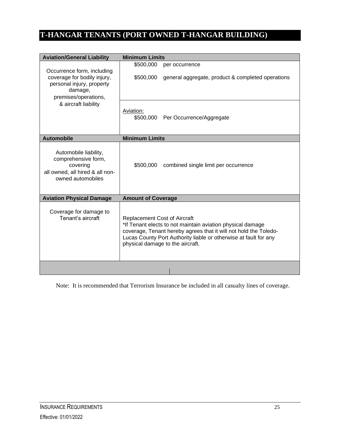### <span id="page-27-0"></span>**T-HANGAR TENANTS (PORT OWNED T-HANGAR BUILDING)**

| <b>Aviation/General Liability</b>                                                                                         | <b>Minimum Limits</b>                                                                                                                                                                                                                                                         |                                                   |
|---------------------------------------------------------------------------------------------------------------------------|-------------------------------------------------------------------------------------------------------------------------------------------------------------------------------------------------------------------------------------------------------------------------------|---------------------------------------------------|
|                                                                                                                           | \$500,000                                                                                                                                                                                                                                                                     | per occurrence                                    |
| Occurrence form, including<br>coverage for bodily injury,<br>personal injury, property<br>damage,<br>premises/operations, | \$500,000                                                                                                                                                                                                                                                                     | general aggregate, product & completed operations |
| & aircraft liability                                                                                                      | Aviation:<br>\$500,000                                                                                                                                                                                                                                                        | Per Occurrence/Aggregate                          |
| <b>Automobile</b>                                                                                                         | <b>Minimum Limits</b>                                                                                                                                                                                                                                                         |                                                   |
| Automobile liability,<br>comprehensive form,<br>covering<br>all owned, all hired & all non-<br>owned automobiles          | \$500,000                                                                                                                                                                                                                                                                     | combined single limit per occurrence              |
| <b>Aviation Physical Damage</b>                                                                                           | <b>Amount of Coverage</b>                                                                                                                                                                                                                                                     |                                                   |
| Coverage for damage to<br>Tenant's aircraft                                                                               | <b>Replacement Cost of Aircraft</b><br>*If Tenant elects to not maintain aviation physical damage<br>coverage, Tenant hereby agrees that it will not hold the Toledo-<br>Lucas County Port Authority liable or otherwise at fault for any<br>physical damage to the aircraft. |                                                   |
|                                                                                                                           |                                                                                                                                                                                                                                                                               |                                                   |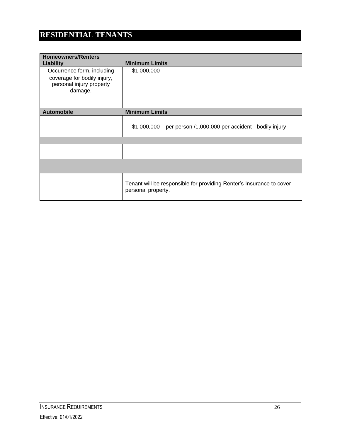### <span id="page-28-0"></span>**RESIDENTIAL TENANTS**

| <b>Homeowners/Renters</b><br><b>Liability</b>                                                    | <b>Minimum Limits</b>                                                                      |
|--------------------------------------------------------------------------------------------------|--------------------------------------------------------------------------------------------|
| Occurrence form, including<br>coverage for bodily injury,<br>personal injury property<br>damage, | \$1,000,000                                                                                |
| <b>Automobile</b>                                                                                | <b>Minimum Limits</b>                                                                      |
|                                                                                                  | \$1,000,000<br>per person /1,000,000 per accident - bodily injury                          |
|                                                                                                  |                                                                                            |
|                                                                                                  |                                                                                            |
|                                                                                                  |                                                                                            |
|                                                                                                  | Tenant will be responsible for providing Renter's Insurance to cover<br>personal property. |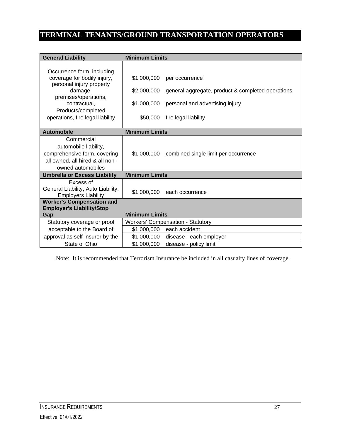# <span id="page-29-0"></span>**TERMINAL TENANTS/GROUND TRANSPORTATION OPERATORS**

| <b>General Liability</b>                                         | <b>Minimum Limits</b> |                                                   |
|------------------------------------------------------------------|-----------------------|---------------------------------------------------|
|                                                                  |                       |                                                   |
| Occurrence form, including                                       |                       |                                                   |
| coverage for bodily injury,<br>personal injury property          | \$1,000,000           | per occurrence                                    |
| damage,                                                          | \$2,000,000           | general aggregate, product & completed operations |
| premises/operations,                                             |                       |                                                   |
| contractual,                                                     | \$1,000,000           | personal and advertising injury                   |
| Products/completed<br>operations, fire legal liability           | \$50,000              | fire legal liability                              |
|                                                                  |                       |                                                   |
| <b>Automobile</b>                                                | <b>Minimum Limits</b> |                                                   |
| Commercial                                                       |                       |                                                   |
| automobile liability,                                            |                       |                                                   |
| comprehensive form, covering                                     |                       | \$1,000,000 combined single limit per occurrence  |
| all owned, all hired & all non-                                  |                       |                                                   |
| owned automobiles                                                |                       |                                                   |
| <b>Umbrella or Excess Liability</b>                              | <b>Minimum Limits</b> |                                                   |
| Excess of                                                        |                       |                                                   |
| General Liability, Auto Liability,<br><b>Employers Liability</b> | \$1,000,000           | each occurrence                                   |
| <b>Worker's Compensation and</b>                                 |                       |                                                   |
| <b>Employer's Liability/Stop</b>                                 |                       |                                                   |
| Gap                                                              | <b>Minimum Limits</b> |                                                   |
| Statutory coverage or proof                                      |                       | <b>Workers' Compensation - Statutory</b>          |
| acceptable to the Board of                                       | \$1,000,000           | each accident                                     |
| approval as self-insurer by the                                  | \$1,000,000           | disease - each employer                           |
| State of Ohio                                                    | \$1,000,000           | disease - policy limit                            |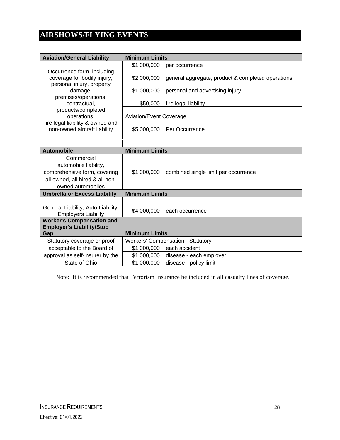# <span id="page-30-0"></span>**AIRSHOWS/FLYING EVENTS**

| <b>Aviation/General Liability</b>                                | <b>Minimum Limits</b>          |                                                   |
|------------------------------------------------------------------|--------------------------------|---------------------------------------------------|
|                                                                  | \$1,000,000                    | per occurrence                                    |
| Occurrence form, including                                       |                                |                                                   |
| coverage for bodily injury,<br>personal injury, property         | \$2,000,000                    | general aggregate, product & completed operations |
| damage,                                                          | \$1,000,000                    | personal and advertising injury                   |
| premises/operations,                                             |                                |                                                   |
| contractual,                                                     | \$50,000                       | fire legal liability                              |
| products/completed<br>operations,                                | <b>Aviation/Event Coverage</b> |                                                   |
| fire legal liability & owned and                                 |                                |                                                   |
| non-owned aircraft liability                                     |                                | \$5,000,000 Per Occurrence                        |
|                                                                  |                                |                                                   |
|                                                                  |                                |                                                   |
| <b>Automobile</b>                                                | <b>Minimum Limits</b>          |                                                   |
| Commercial                                                       |                                |                                                   |
| automobile liability,                                            |                                |                                                   |
| comprehensive form, covering                                     |                                | \$1,000,000 combined single limit per occurrence  |
| all owned, all hired & all non-                                  |                                |                                                   |
| owned automobiles                                                |                                |                                                   |
| <b>Umbrella or Excess Liability</b>                              | <b>Minimum Limits</b>          |                                                   |
|                                                                  |                                |                                                   |
| General Liability, Auto Liability,<br><b>Employers Liability</b> | \$4,000,000                    | each occurrence                                   |
| <b>Worker's Compensation and</b>                                 |                                |                                                   |
| <b>Employer's Liability/Stop</b>                                 |                                |                                                   |
| Gap                                                              | <b>Minimum Limits</b>          |                                                   |
| Statutory coverage or proof                                      |                                | Workers' Compensation - Statutory                 |
| acceptable to the Board of                                       | \$1,000,000                    | each accident                                     |
| approval as self-insurer by the                                  | \$1,000,000                    | disease - each employer                           |
| State of Ohio                                                    | \$1,000,000                    | disease - policy limit                            |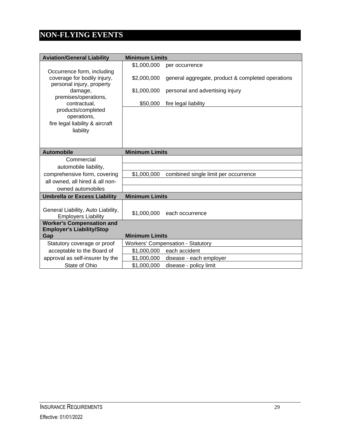# <span id="page-31-0"></span>**NON-FLYING EVENTS**

| <b>Aviation/General Liability</b>                                | <b>Minimum Limits</b> |                                                   |
|------------------------------------------------------------------|-----------------------|---------------------------------------------------|
|                                                                  | \$1,000,000           | per occurrence                                    |
| Occurrence form, including                                       |                       |                                                   |
| coverage for bodily injury,                                      | \$2,000,000           | general aggregate, product & completed operations |
| personal injury, property<br>damage,                             | \$1,000,000           | personal and advertising injury                   |
| premises/operations,                                             |                       |                                                   |
| contractual,                                                     | \$50,000              | fire legal liability                              |
| products/completed                                               |                       |                                                   |
| operations,                                                      |                       |                                                   |
| fire legal liability & aircraft<br>liability                     |                       |                                                   |
|                                                                  |                       |                                                   |
|                                                                  |                       |                                                   |
| <b>Automobile</b>                                                | <b>Minimum Limits</b> |                                                   |
| Commercial                                                       |                       |                                                   |
| automobile liability,                                            |                       |                                                   |
| comprehensive form, covering                                     | \$1,000,000           | combined single limit per occurrence              |
| all owned, all hired & all non-                                  |                       |                                                   |
| owned automobiles                                                |                       |                                                   |
| <b>Umbrella or Excess Liability</b>                              | <b>Minimum Limits</b> |                                                   |
|                                                                  |                       |                                                   |
| General Liability, Auto Liability,<br><b>Employers Liability</b> | \$1,000,000           | each occurrence                                   |
| <b>Worker's Compensation and</b>                                 |                       |                                                   |
| <b>Employer's Liability/Stop</b>                                 | <b>Minimum Limits</b> |                                                   |
| Gap<br>Statutory coverage or proof                               |                       | <b>Workers' Compensation - Statutory</b>          |
| acceptable to the Board of                                       | \$1,000,000           | each accident                                     |
| approval as self-insurer by the                                  | \$1,000,000           | disease - each employer                           |
| State of Ohio                                                    | \$1,000,000           | disease - policy limit                            |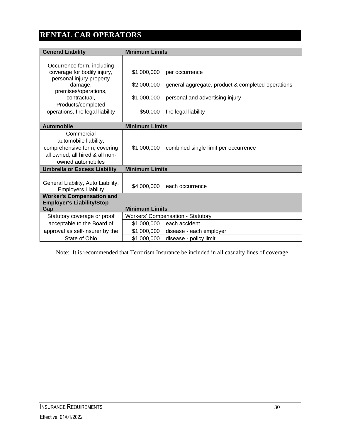# <span id="page-32-0"></span>**RENTAL CAR OPERATORS**

| <b>General Liability</b>                                       | <b>Minimum Limits</b> |                                                   |
|----------------------------------------------------------------|-----------------------|---------------------------------------------------|
|                                                                |                       |                                                   |
| Occurrence form, including                                     |                       |                                                   |
| coverage for bodily injury,                                    | \$1,000,000           | per occurrence                                    |
| personal injury property                                       |                       |                                                   |
| damage,<br>premises/operations,                                | \$2,000,000           | general aggregate, product & completed operations |
| contractual,                                                   | \$1,000,000           | personal and advertising injury                   |
| Products/completed                                             |                       |                                                   |
| operations, fire legal liability                               | \$50,000              | fire legal liability                              |
|                                                                |                       |                                                   |
| <b>Automobile</b>                                              | <b>Minimum Limits</b> |                                                   |
| Commercial                                                     |                       |                                                   |
| automobile liability,                                          |                       |                                                   |
| comprehensive form, covering                                   | \$1.000.000           | combined single limit per occurrence              |
| all owned, all hired & all non-                                |                       |                                                   |
| owned automobiles                                              |                       |                                                   |
| <b>Umbrella or Excess Liability</b>                            | <b>Minimum Limits</b> |                                                   |
|                                                                |                       |                                                   |
| General Liability, Auto Liability,                             | \$4,000,000           | each occurrence                                   |
| <b>Employers Liability</b><br><b>Worker's Compensation and</b> |                       |                                                   |
| <b>Employer's Liability/Stop</b>                               |                       |                                                   |
| Gap                                                            | <b>Minimum Limits</b> |                                                   |
| Statutory coverage or proof                                    |                       | Workers' Compensation - Statutory                 |
| acceptable to the Board of                                     |                       | \$1,000,000 each accident                         |
| approval as self-insurer by the                                | \$1,000,000           | disease - each employer                           |
| State of Ohio                                                  | \$1,000,000           | disease - policy limit                            |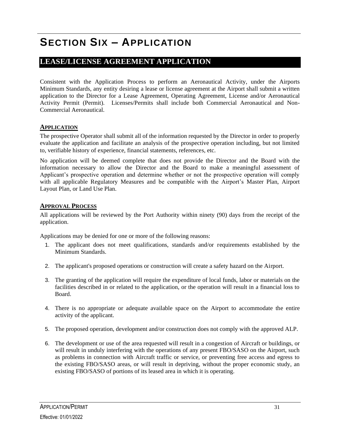# <span id="page-33-0"></span>**SECTION SIX – APPLICATION**

### <span id="page-33-1"></span>**LEASE/LICENSE AGREEMENT APPLICATION**

Consistent with the Application Process to perform an Aeronautical Activity, under the Airports Minimum Standards, any entity desiring a lease or license agreement at the Airport shall submit a written application to the Director for a Lease Agreement, Operating Agreement, License and/or Aeronautical Activity Permit (Permit). Licenses/Permits shall include both Commercial Aeronautical and Non-Commercial Aeronautical.

#### <span id="page-33-2"></span>**APPLICATION**

The prospective Operator shall submit all of the information requested by the Director in order to properly evaluate the application and facilitate an analysis of the prospective operation including, but not limited to, verifiable history of experience, financial statements, references, etc.

No application will be deemed complete that does not provide the Director and the Board with the information necessary to allow the Director and the Board to make a meaningful assessment of Applicant's prospective operation and determine whether or not the prospective operation will comply with all applicable Regulatory Measures and be compatible with the Airport's Master Plan, Airport Layout Plan, or Land Use Plan.

#### <span id="page-33-3"></span>**APPROVAL PROCESS**

All applications will be reviewed by the Port Authority within ninety (90) days from the receipt of the application.

Applications may be denied for one or more of the following reasons:

- 1. The applicant does not meet qualifications, standards and/or requirements established by the Minimum Standards.
- 2. The applicant's proposed operations or construction will create a safety hazard on the Airport.
- 3. The granting of the application will require the expenditure of local funds, labor or materials on the facilities described in or related to the application, or the operation will result in a financial loss to Board.
- 4. There is no appropriate or adequate available space on the Airport to accommodate the entire activity of the applicant.
- 5. The proposed operation, development and/or construction does not comply with the approved ALP.
- 6. The development or use of the area requested will result in a congestion of Aircraft or buildings, or will result in unduly interfering with the operations of any present FBO/SASO on the Airport, such as problems in connection with Aircraft traffic or service, or preventing free access and egress to the existing FBO/SASO areas, or will result in depriving, without the proper economic study, an existing FBO/SASO of portions of its leased area in which it is operating.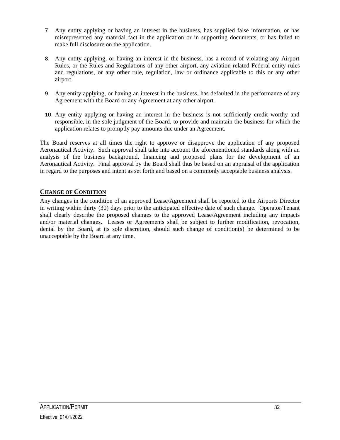- 7. Any entity applying or having an interest in the business, has supplied false information, or has misrepresented any material fact in the application or in supporting documents, or has failed to make full disclosure on the application.
- 8. Any entity applying, or having an interest in the business, has a record of violating any Airport Rules, or the Rules and Regulations of any other airport, any aviation related Federal entity rules and regulations, or any other rule, regulation, law or ordinance applicable to this or any other airport.
- 9. Any entity applying, or having an interest in the business, has defaulted in the performance of any Agreement with the Board or any Agreement at any other airport.
- 10. Any entity applying or having an interest in the business is not sufficiently credit worthy and responsible, in the sole judgment of the Board, to provide and maintain the business for which the application relates to promptly pay amounts due under an Agreement.

The Board reserves at all times the right to approve or disapprove the application of any proposed Aeronautical Activity. Such approval shall take into account the aforementioned standards along with an analysis of the business background, financing and proposed plans for the development of an Aeronautical Activity. Final approval by the Board shall thus be based on an appraisal of the application in regard to the purposes and intent as set forth and based on a commonly acceptable business analysis.

#### <span id="page-34-0"></span>**CHANGE OF CONDITION**

Any changes in the condition of an approved Lease/Agreement shall be reported to the Airports Director in writing within thirty (30) days prior to the anticipated effective date of such change. Operator/Tenant shall clearly describe the proposed changes to the approved Lease/Agreement including any impacts and/or material changes. Leases or Agreements shall be subject to further modification, revocation, denial by the Board, at its sole discretion, should such change of condition(s) be determined to be unacceptable by the Board at any time.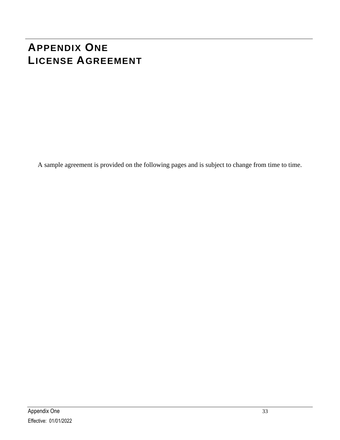# <span id="page-35-0"></span>**APPENDIX ONE LICENSE AGREEMENT**

A sample agreement is provided on the following pages and is subject to change from time to time.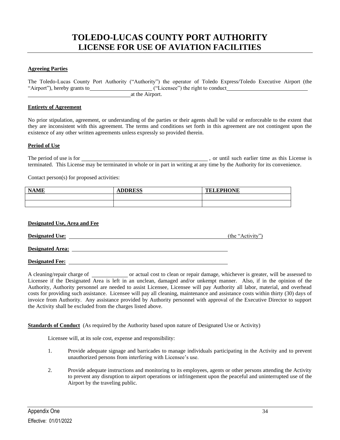### **TOLEDO-LUCAS COUNTY PORT AUTHORITY LICENSE FOR USE OF AVIATION FACILITIES**

#### **Agreeing Parties**

The Toledo-Lucas County Port Authority ("Authority") the operator of Toledo Express/Toledo Executive Airport (the "Airport"), hereby grants to ("Licensee") the right to conduct at the Airport.

#### **Entirety of Agreement**

No prior stipulation, agreement, or understanding of the parties or their agents shall be valid or enforceable to the extent that they are inconsistent with this agreement. The terms and conditions set forth in this agreement are not contingent upon the existence of any other written agreements unless expressly so provided therein.

#### **Period of Use**

The period of use is for  $\sim$  , or until such earlier time as this License is terminated. This License may be terminated in whole or in part in writing at any time by the Authority for its convenience.

Contact person(s) for proposed activities:

| <b>NAME</b> | <b>ADDRESS</b> | <b>TELEPHONE</b> |
|-------------|----------------|------------------|
|             |                |                  |
|             |                |                  |

#### **Designated Use, Area and Fee**

| <b>Designated Use:</b>  | (the "Activity") |
|-------------------------|------------------|
| <b>Designated Area:</b> |                  |

**Designated Fee:**

A cleaning/repair charge of \_\_\_\_\_\_\_\_\_\_\_\_\_ or actual cost to clean or repair damage, whichever is greater, will be assessed to Licensee if the Designated Area is left in an unclean, damaged and/or unkempt manner. Also, if in the opinion of the Authority, Authority personnel are needed to assist Licensee, Licensee will pay Authority all labor, material, and overhead costs for providing such assistance. Licensee will pay all cleaning, maintenance and assistance costs within thirty (30) days of invoice from Authority. Any assistance provided by Authority personnel with approval of the Executive Director to support the Activity shall be excluded from the charges listed above.

#### **Standards of Conduct** (As required by the Authority based upon nature of Designated Use or Activity)

Licensee will, at its sole cost, expense and responsibility:

- 1. Provide adequate signage and barricades to manage individuals participating in the Activity and to prevent unauthorized persons from interfering with Licensee's use.
- 2. Provide adequate instructions and monitoring to its employees, agents or other persons attending the Activity to prevent any disruption to airport operations or infringement upon the peaceful and uninterrupted use of the Airport by the traveling public.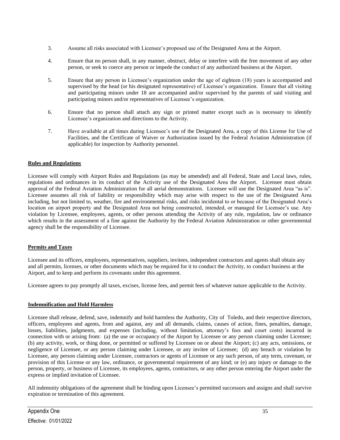- 3. Assume all risks associated with Licensee's proposed use of the Designated Area at the Airport.
- 4. Ensure that no person shall, in any manner, obstruct, delay or interfere with the free movement of any other person, or seek to coerce any person or impede the conduct of any authorized business at the Airport.
- 5. Ensure that any person in Licensee's organization under the age of eighteen (18) years is accompanied and supervised by the head (or his designated representative) of Licensee's organization. Ensure that all visiting and participating minors under 18 are accompanied and/or supervised by the parents of said visiting and participating minors and/or representatives of Licensee's organization.
- 6. Ensure that no person shall attach any sign or printed matter except such as is necessary to identify Licensee's organization and directions to the Activity.
- 7. Have available at all times during Licensee's use of the Designated Area, a copy of this License for Use of Facilities, and the Certificate of Waiver or Authorization issued by the Federal Aviation Administration (if applicable) for inspection by Authority personnel.

#### **Rules and Regulations**

Licensee will comply with Airport Rules and Regulations (as may be amended) and all Federal, State and Local laws, rules, regulations and ordinances in its conduct of the Activity use of the Designated Area the Airport. Licensee must obtain approval of the Federal Aviation Administration for all aerial demonstrations. Licensee will use the Designated Area "as is". Licensee assumes all risk of liability or responsibility which may arise with respect to the use of the Designated Area including, but not limited to, weather, fire and environmental risks, and risks incidental to or because of the Designated Area's location on airport property and the Designated Area not being constructed, intended, or managed for Licensee's use. Any violation by Licensee, employees, agents, or other persons attending the Activity of any rule, regulation, law or ordinance which results in the assessment of a fine against the Authority by the Federal Aviation Administration or other governmental agency shall be the responsibility of Licensee.

#### **Permits and Taxes**

Licensee and its officers, employees, representatives, suppliers, invitees, independent contractors and agents shall obtain any and all permits, licenses, or other documents which may be required for it to conduct the Activity, to conduct business at the Airport, and to keep and perform its covenants under this agreement.

Licensee agrees to pay promptly all taxes, excises, license fees, and permit fees of whatever nature applicable to the Activity.

#### **Indemnification and Hold Harmless**

Licensee shall release, defend, save, indemnify and hold harmless the Authority, City of Toledo, and their respective directors, officers, employees and agents, from and against, any and all demands, claims, causes of action, fines, penalties, damage, losses, liabilities, judgments, and expenses (including, without limitation, attorney's fees and court costs) incurred in connection with or arising from: (a) the use or occupancy of the Airport by Licensee or any person claiming under Licensee; (b) any activity, work, or thing done, or permitted or suffered by Licensee on or about the Airport; (c) any acts, omissions, or negligence of Licensee, or any person claiming under Licensee, or any invitee of Licensee; (d) any breach or violation by Licensee, any person claiming under Licensee, contractors or agents of Licensee or any such person, of any term, covenant, or provision of this License or any law, ordinance, or governmental requirement of any kind; or (e) any injury or damage to the person, property, or business of Licensee, its employees, agents, contractors, or any other person entering the Airport under the express or implied invitation of Licensee.

All indemnity obligations of the agreement shall be binding upon Licensee's permitted successors and assigns and shall survive expiration or termination of this agreement.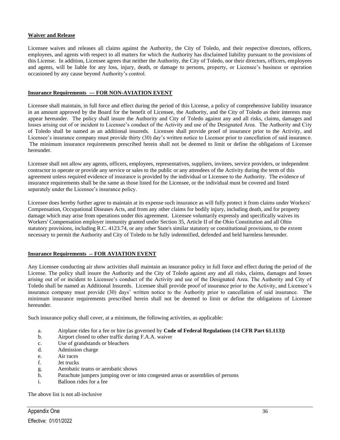#### **Waiver and Release**

Licensee waives and releases all claims against the Authority, the City of Toledo, and their respective directors, officers, employees, and agents with respect to all matters for which the Authority has disclaimed liability pursuant to the provisions of this License. In addition, Licensee agrees that neither the Authority, the City of Toledo, nor their directors, officers, employees and agents, will be liable for any loss, injury, death, or damage to persons, property, or Licensee's business or operation occasioned by any cause beyond Authority's control.

#### **Insurance Requirements --- FOR NON-AVIATION EVENT**

Licensee shall maintain, in full force and effect during the period of this License, a policy of comprehensive liability insurance in an amount approved by the Board for the benefit of Licensee, the Authority, and the City of Toledo as their interests may appear hereunder. The policy shall insure the Authority and City of Toledo against any and all risks, claims, damages and losses arising out of or incident to Licensee's conduct of the Activity and use of the Designated Area. The Authority and City of Toledo shall be named as an additional insureds. Licensee shall provide proof of insurance prior to the Activity, and Licensee's insurance company must provide thirty (30) day's written notice to Licensor prior to cancellation of said insurance. The minimum insurance requirements prescribed herein shall not be deemed to limit or define the obligations of Licensee hereunder.

Licensee shall not allow any agents, officers, employees, representatives, suppliers, invitees, service providers, or independent contractor to operate or provide any service or sales to the public or any attendees of the Activity during the term of this agreement unless required evidence of insurance is provided by the individual or Licensee to the Authority. The evidence of insurance requirements shall be the same as those listed for the Licensee, or the individual must be covered and listed separately under the Licensee's insurance policy.

Licensee does hereby further agree to maintain at its expense such insurance as will fully protect it from claims under Workers' Compensation, Occupational Diseases Acts, and from any other claims for bodily injury, including death, and for property damage which may arise from operations under this agreement. Licensee voluntarily expressly and specifically waives its Workers' Compensation employer immunity granted under Section 35, Article II of the Ohio Constitution and all Ohio statutory provisions, including R.C. 4123.74, or any other State's similar statutory or constitutional provisions, to the extent necessary to permit the Authority and City of Toledo to be fully indemnified, defended and held harmless hereunder.

#### **Insurance Requirements -- FOR AVIATION EVENT**

Any Licensee conducting air show activities shall maintain an insurance policy in full force and effect during the period of the License. The policy shall insure the Authority and the City of Toledo against any and all risks, claims, damages and losses arising out of or incident to Licensee's conduct of the Activity and use of the Designated Area. The Authority and City of Toledo shall be named as Additional Insureds. Licensee shall provide proof of insurance prior to the Activity, and Licensee's insurance company must provide (30) days' written notice to the Authority prior to cancellation of said insurance. The minimum insurance requirements prescribed herein shall not be deemed to limit or define the obligations of Licensee hereunder.

Such insurance policy shall cover, at a minimum, the following activities, as applicable:

- a. Airplane rides for a fee or hire (as governed by **Code of Federal Regulations (14 CFR Part 61.113))**
- b. Airport closed to other traffic during F.A.A. waiver
- c. Use of grandstands or bleachers
- d. Admission charge
- e. Air races
- f. Jet trucks
- g. Aerobatic teams or aerobatic shows
- h. Parachute jumpers jumping over or into congested areas or assemblies of persons
- i. Balloon rides for a fee

The above list is not all-inclusive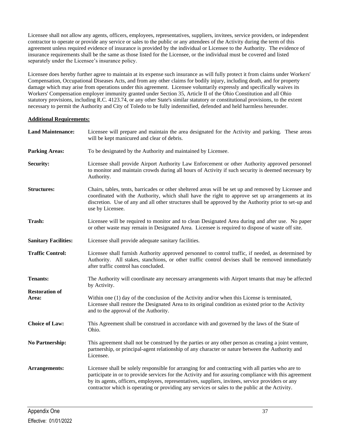Licensee shall not allow any agents, officers, employees, representatives, suppliers, invitees, service providers, or independent contractor to operate or provide any service or sales to the public or any attendees of the Activity during the term of this agreement unless required evidence of insurance is provided by the individual or Licensee to the Authority. The evidence of insurance requirements shall be the same as those listed for the Licensee, or the individual must be covered and listed separately under the Licensee's insurance policy.

Licensee does hereby further agree to maintain at its expense such insurance as will fully protect it from claims under Workers' Compensation, Occupational Diseases Acts, and from any other claims for bodily injury, including death, and for property damage which may arise from operations under this agreement. Licensee voluntarily expressly and specifically waives its Workers' Compensation employer immunity granted under Section 35, Article II of the Ohio Constitution and all Ohio statutory provisions, including R.C. 4123.74, or any other State's similar statutory or constitutional provisions, to the extent necessary to permit the Authority and City of Toledo to be fully indemnified, defended and held harmless hereunder.

#### **Additional Requirements:**

| <b>Land Maintenance:</b>       | Licensee will prepare and maintain the area designated for the Activity and parking. These areas<br>will be kept manicured and clear of debris.                                                                                                                                                                                                                                                                       |  |  |
|--------------------------------|-----------------------------------------------------------------------------------------------------------------------------------------------------------------------------------------------------------------------------------------------------------------------------------------------------------------------------------------------------------------------------------------------------------------------|--|--|
| <b>Parking Areas:</b>          | To be designated by the Authority and maintained by Licensee.                                                                                                                                                                                                                                                                                                                                                         |  |  |
| Security:                      | Licensee shall provide Airport Authority Law Enforcement or other Authority approved personnel<br>to monitor and maintain crowds during all hours of Activity if such security is deemed necessary by<br>Authority.                                                                                                                                                                                                   |  |  |
| <b>Structures:</b>             | Chairs, tables, tents, barricades or other sheltered areas will be set up and removed by Licensee and<br>coordinated with the Authority, which shall have the right to approve set up arrangements at its<br>discretion. Use of any and all other structures shall be approved by the Authority prior to set-up and<br>use by Licensee.                                                                               |  |  |
| Trash:                         | Licensee will be required to monitor and to clean Designated Area during and after use. No paper<br>or other waste may remain in Designated Area. Licensee is required to dispose of waste off site.                                                                                                                                                                                                                  |  |  |
| <b>Sanitary Facilities:</b>    | Licensee shall provide adequate sanitary facilities.                                                                                                                                                                                                                                                                                                                                                                  |  |  |
| <b>Traffic Control:</b>        | Licensee shall furnish Authority approved personnel to control traffic, if needed, as determined by<br>Authority. All stakes, stanchions, or other traffic control devises shall be removed immediately<br>after traffic control has concluded.                                                                                                                                                                       |  |  |
| <b>Tenants:</b>                | The Authority will coordinate any necessary arrangements with Airport tenants that may be affected<br>by Activity.                                                                                                                                                                                                                                                                                                    |  |  |
| <b>Restoration of</b><br>Area: | Within one (1) day of the conclusion of the Activity and/or when this License is terminated,<br>Licensee shall restore the Designated Area to its original condition as existed prior to the Activity<br>and to the approval of the Authority.                                                                                                                                                                        |  |  |
| <b>Choice of Law:</b>          | This Agreement shall be construed in accordance with and governed by the laws of the State of<br>Ohio.                                                                                                                                                                                                                                                                                                                |  |  |
| <b>No Partnership:</b>         | This agreement shall not be construed by the parties or any other person as creating a joint venture,<br>partnership, or principal-agent relationship of any character or nature between the Authority and<br>Licensee.                                                                                                                                                                                               |  |  |
| Arrangements:                  | Licensee shall be solely responsible for arranging for and contracting with all parties who are to<br>participate in or to provide services for the Activity and for assuring compliance with this agreement<br>by its agents, officers, employees, representatives, suppliers, invitees, service providers or any<br>contractor which is operating or providing any services or sales to the public at the Activity. |  |  |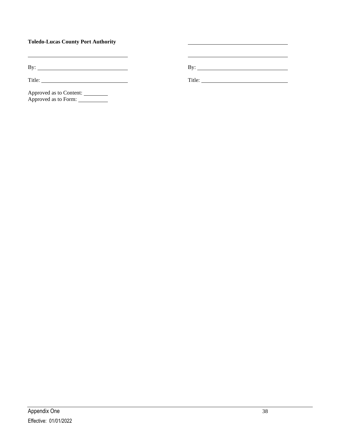#### **Toledo-Lucas County Port Authority**

By: By:

Title: Title:

Approved as to Content: Approved as to Form: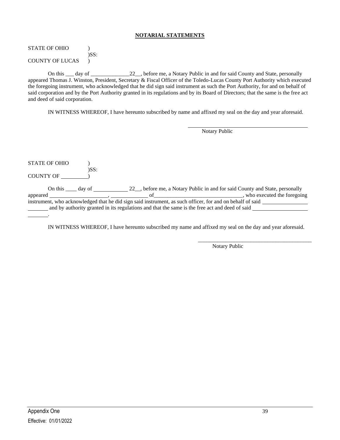#### **NOTARIAL STATEMENTS**

#### STATE OF OHIO  $\qquad$  ) )SS: COUNTY OF LUCAS )

On this \_\_\_ day of \_\_\_\_\_\_\_\_\_\_\_\_\_\_\_\_22\_, before me, a Notary Public in and for said County and State, personally appeared Thomas J. Winston, President, Secretary & Fiscal Officer of the Toledo-Lucas County Port Authority which executed the foregoing instrument, who acknowledged that he did sign said instrument as such the Port Authority, for and on behalf of said corporation and by the Port Authority granted in its regulations and by its Board of Directors; that the same is the free act and deed of said corporation.

IN WITNESS WHEREOF, I have hereunto subscribed by name and affixed my seal on the day and year aforesaid.

|                      |      | Notary Public                                                                                             |
|----------------------|------|-----------------------------------------------------------------------------------------------------------|
|                      |      |                                                                                                           |
|                      |      |                                                                                                           |
|                      |      |                                                                                                           |
| <b>STATE OF OHIO</b> |      |                                                                                                           |
| <b>COUNTY OF</b>     | )SS: |                                                                                                           |
|                      |      |                                                                                                           |
| appeared             |      | who executed the foregoing<br>of                                                                          |
|                      |      | instrument, who acknowledged that he did sign said instrument, as such officer, for and on behalf of said |
|                      |      | and by authority granted in its regulations and that the same is the free act and deed of said            |
|                      |      |                                                                                                           |

IN WITNESS WHEREOF, I have hereunto subscribed my name and affixed my seal on the day and year aforesaid.

\_\_\_\_\_\_\_\_\_\_\_\_\_\_\_\_\_\_\_\_\_\_\_\_\_\_\_\_\_\_\_\_\_\_\_\_\_\_\_\_\_ Notary Public